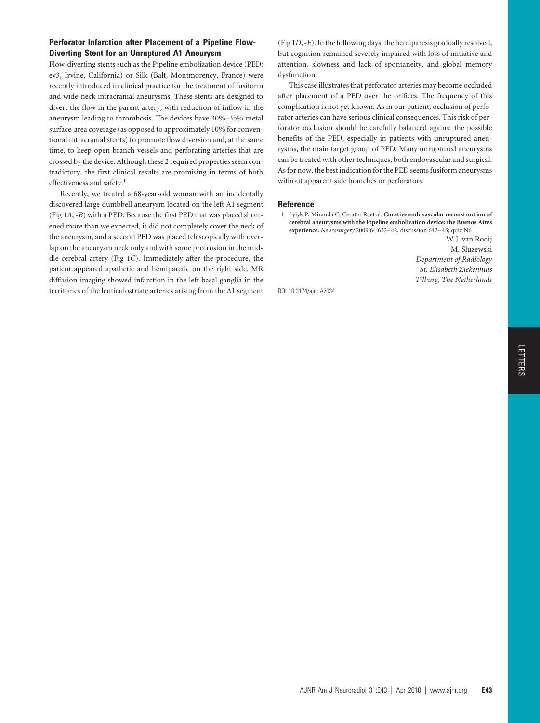## **Perforator Infarction after Placement of a Pipeline Flow-Diverting Stent for an Unruptured A1 Aneurysm**

Flow-diverting stents such as the Pipeline embolization device (PED; ev3, Irvine, California) or Silk (Balt, Montmorency, France) were recently introduced in clinical practice for the treatment of fusiform and wide-neck intracranial aneurysms. These stents are designed to divert the flow in the parent artery, with reduction of inflow in the aneurysm leading to thrombosis. The devices have 30%–35% metal surface-area coverage (as opposed to approximately 10% for conventional intracranial stents) to promote flow diversion and, at the same time, to keep open branch vessels and perforating arteries that are crossed by the device. Although these 2 required properties seem contradictory, the first clinical results are promising in terms of both effectiveness and safety.<sup>1</sup>

Recently, we treated a 68-year-old woman with an incidentally discovered large dumbbell aneurysm located on the left A1 segment (Fig 1*A*, -*B*) with a PED. Because the first PED that was placed shortened more than we expected, it did not completely cover the neck of the aneurysm, and a second PED was placed telescopically with overlap on the aneurysm neck only and with some protrusion in the middle cerebral artery (Fig 1*C*). Immediately after the procedure, the patient appeared apathetic and hemiparetic on the right side. MR diffusion imaging showed infarction in the left basal ganglia in the territories of the lenticulostriate arteries arising from the A1 segment (Fig 1*D*, -*E*). In the following days, the hemiparesis gradually resolved, but cognition remained severely impaired with loss of initiative and attention, slowness and lack of spontaneity, and global memory dysfunction.

This case illustrates that perforator arteries may become occluded after placement of a PED over the orifices. The frequency of this complication is not yet known. As in our patient, occlusion of perforator arteries can have serious clinical consequences. This risk of perforator occlusion should be carefully balanced against the possible benefits of the PED, especially in patients with unruptured aneurysms, the main target group of PED. Many unruptured aneurysms can be treated with other techniques, both endovascular and surgical. As for now, the best indication for the PED seems fusiform aneurysms without apparent side branches or perforators.

## **Reference**

1. Lylyk P, Miranda C, Ceratto R, et al. **Curative endovascular reconstruction of cerebral aneurysms with the Pipeline embolization device: the Buenos Aires experience.** *Neurosurgery* 2009;64:632–42, discussion 642–43; quiz N6

> W.J. van Rooij M. Sluzewski *Department of Radiology St. Elisabeth Ziekenhuis Tilburg, The Netherlands*

DOI 10.3174/ajnr.A2034